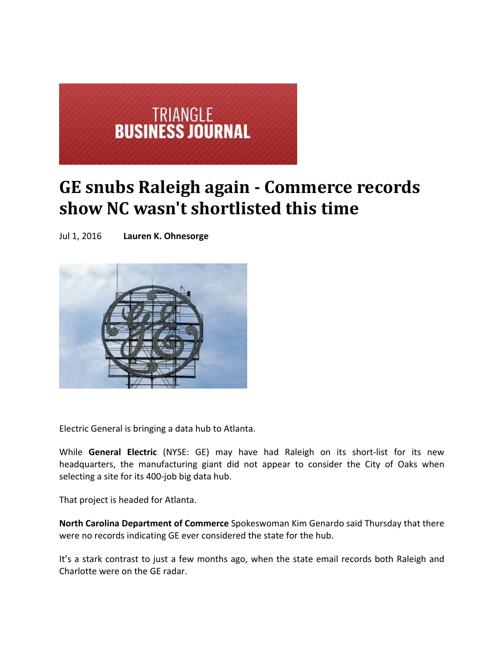

## **GE snubs Raleigh again Commerce records show NC wasn't shortlisted this time**

Jul 1, 2016 **Lauren K. Ohnesorge** 



Electric General is bringing a data hub to Atlanta.

While **General Electric** (NYSE: GE) may have had Raleigh on its short‐list for its new headquarters, the manufacturing giant did not appear to consider the City of Oaks when selecting a site for its 400‐job big data hub.

That project is headed for Atlanta.

**North Carolina Department of Commerce** Spokeswoman Kim Genardo said Thursday that there were no records indicating GE ever considered the state for the hub.

It's a stark contrast to just a few months ago, when the state email records both Raleigh and Charlotte were on the GE radar.